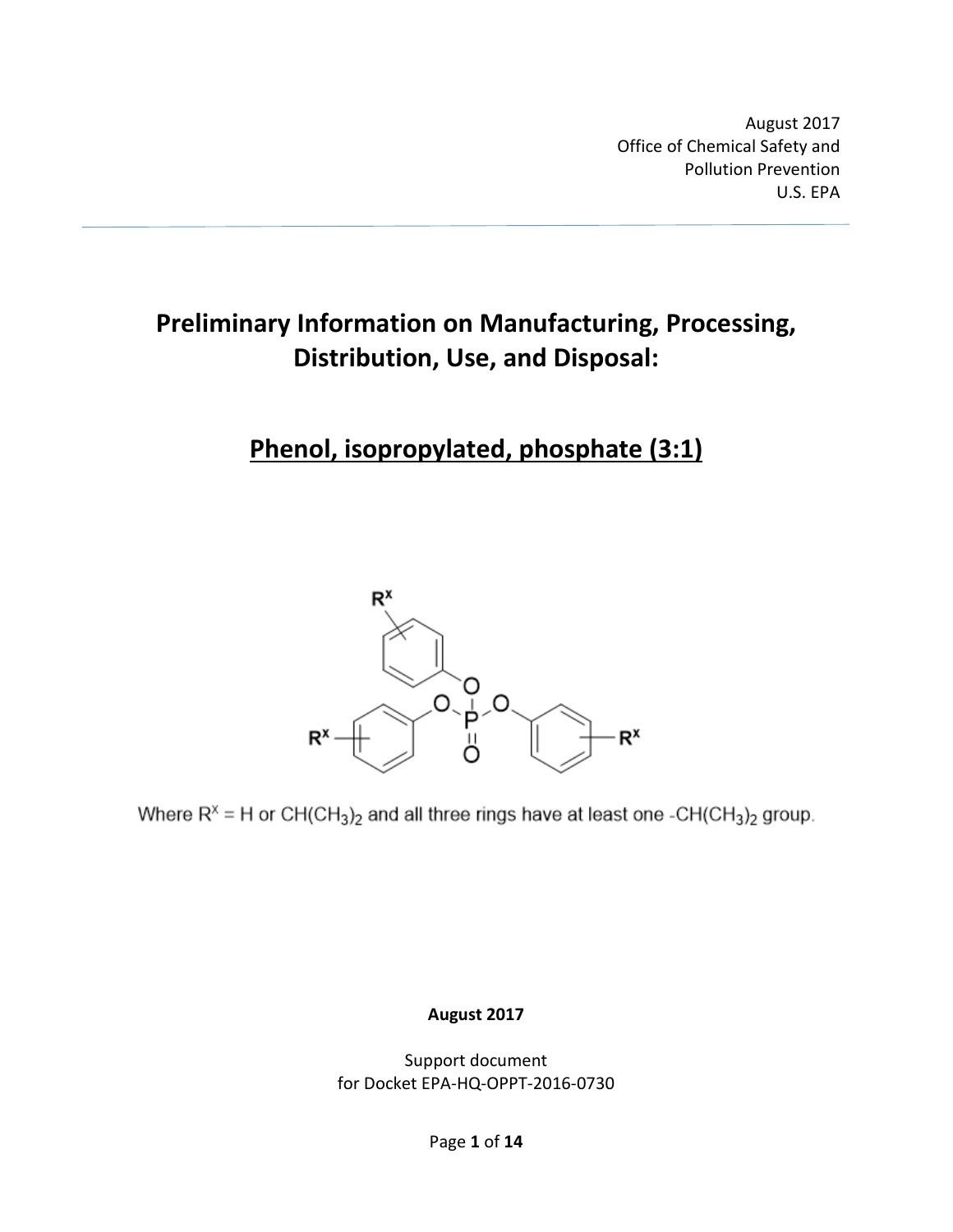August 2017 Office of Chemical Safety and Pollution Prevention U.S. EPA

# **Preliminary Information on Manufacturing, Processing, Distribution, Use, and Disposal:**

# **Phenol, isopropylated, phosphate (3:1)**



Where  $R^x = H$  or  $CH(CH_3)_2$  and all three rings have at least one -CH(CH<sub>3</sub>)<sub>2</sub> group.

**August 2017**

Support document for Docket EPA-HQ-OPPT-2016-0730

Page **1** of **14**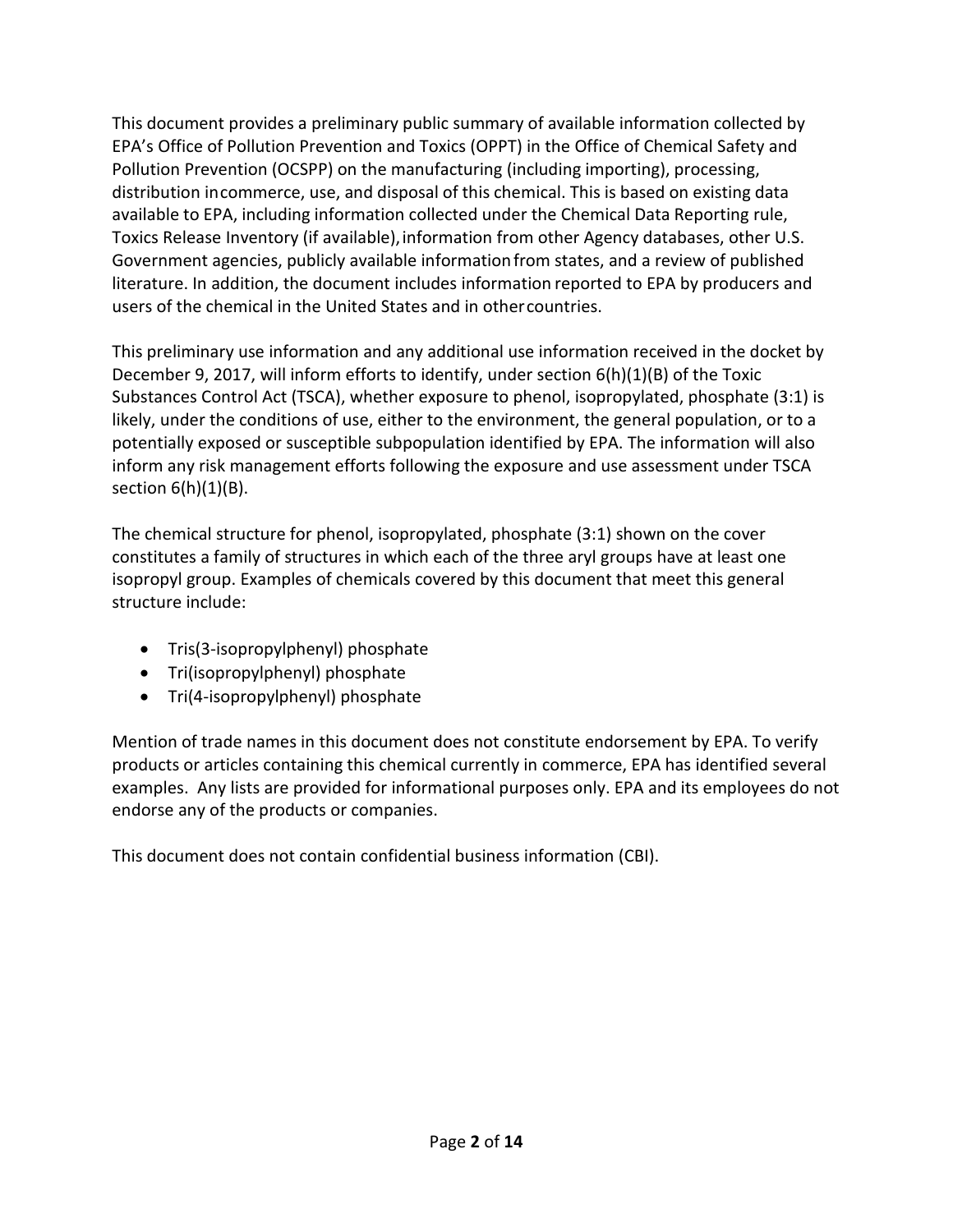This document provides a preliminary public summary of available information collected by EPA's Office of Pollution Prevention and Toxics (OPPT) in the Office of Chemical Safety and Pollution Prevention (OCSPP) on the manufacturing (including importing), processing, distribution incommerce, use, and disposal of this chemical. This is based on existing data available to EPA, including information collected under the Chemical Data Reporting rule, Toxics Release Inventory (if available),information from other Agency databases, other U.S. Government agencies, publicly available informationfrom states, and a review of published literature. In addition, the document includes information reported to EPA by producers and users of the chemical in the United States and in othercountries.

This preliminary use information and any additional use information received in the docket by December 9, 2017, will inform efforts to identify, under section 6(h)(1)(B) of the Toxic Substances Control Act (TSCA), whether exposure to phenol, isopropylated, phosphate (3:1) is likely, under the conditions of use, either to the environment, the general population, or to a potentially exposed or susceptible subpopulation identified by EPA. The information will also inform any risk management efforts following the exposure and use assessment under TSCA section  $6(h)(1)(B)$ .

The chemical structure for phenol, isopropylated, phosphate (3:1) shown on the cover constitutes a family of structures in which each of the three aryl groups have at least one isopropyl group. Examples of chemicals covered by this document that meet this general structure include:

- Tris(3-isopropylphenyl) phosphate
- Tri(isopropylphenyl) phosphate
- Tri(4-isopropylphenyl) phosphate

Mention of trade names in this document does not constitute endorsement by EPA. To verify products or articles containing this chemical currently in commerce, EPA has identified several examples. Any lists are provided for informational purposes only. EPA and its employees do not endorse any of the products or companies.

This document does not contain confidential business information (CBI).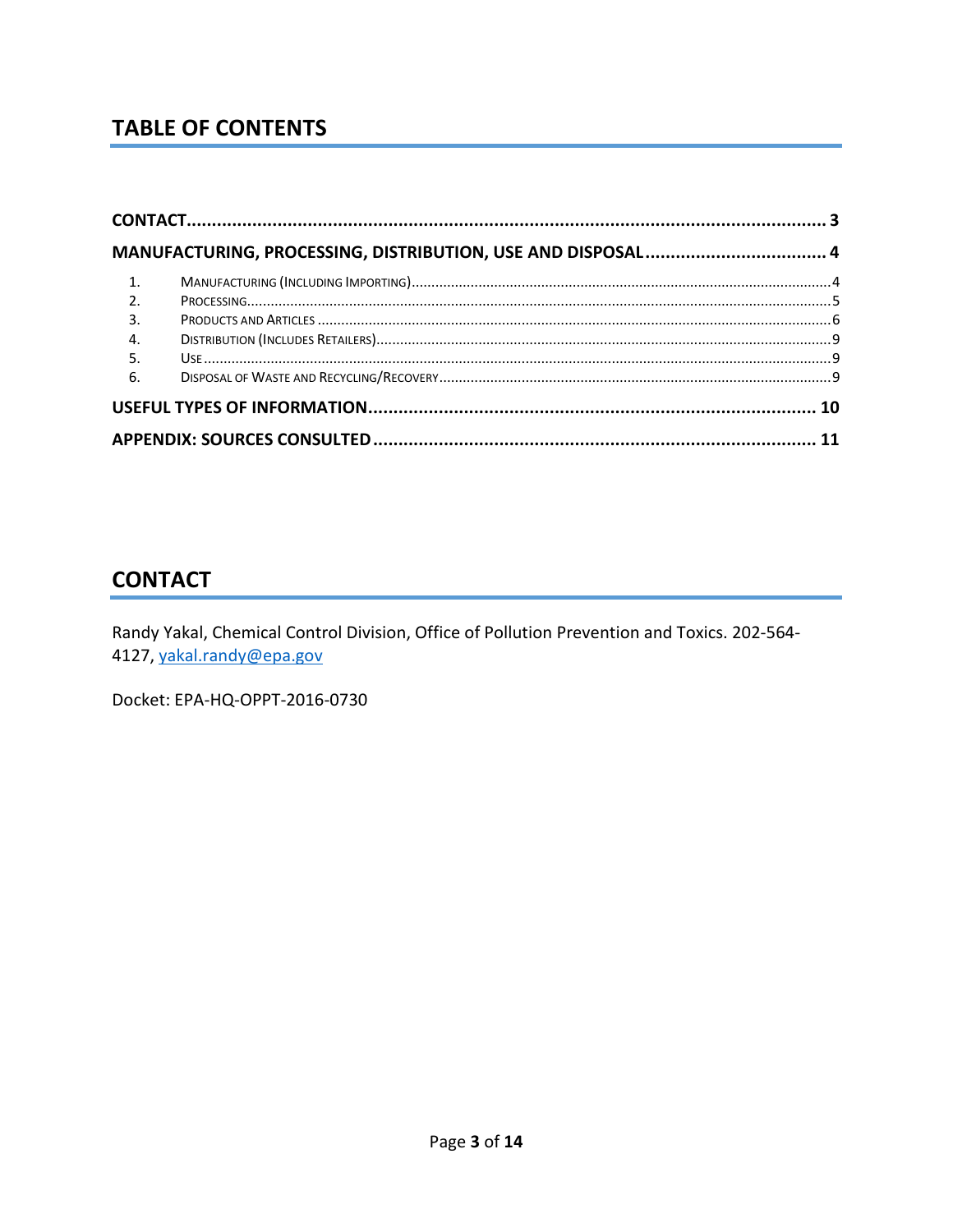# **TABLE OF CONTENTS**

| $\overline{1}$ . |  |
|------------------|--|
| $\overline{2}$ . |  |
| $\overline{3}$ . |  |
| $\overline{4}$ . |  |
| 5.               |  |
| 6.               |  |
|                  |  |
|                  |  |

### <span id="page-2-0"></span>**CONTACT**

Randy Yakal, Chemical Control Division, Office of Pollution Prevention and Toxics. 202-564-4127, yakal.randy@epa.gov

Docket: EPA-HQ-OPPT-2016-0730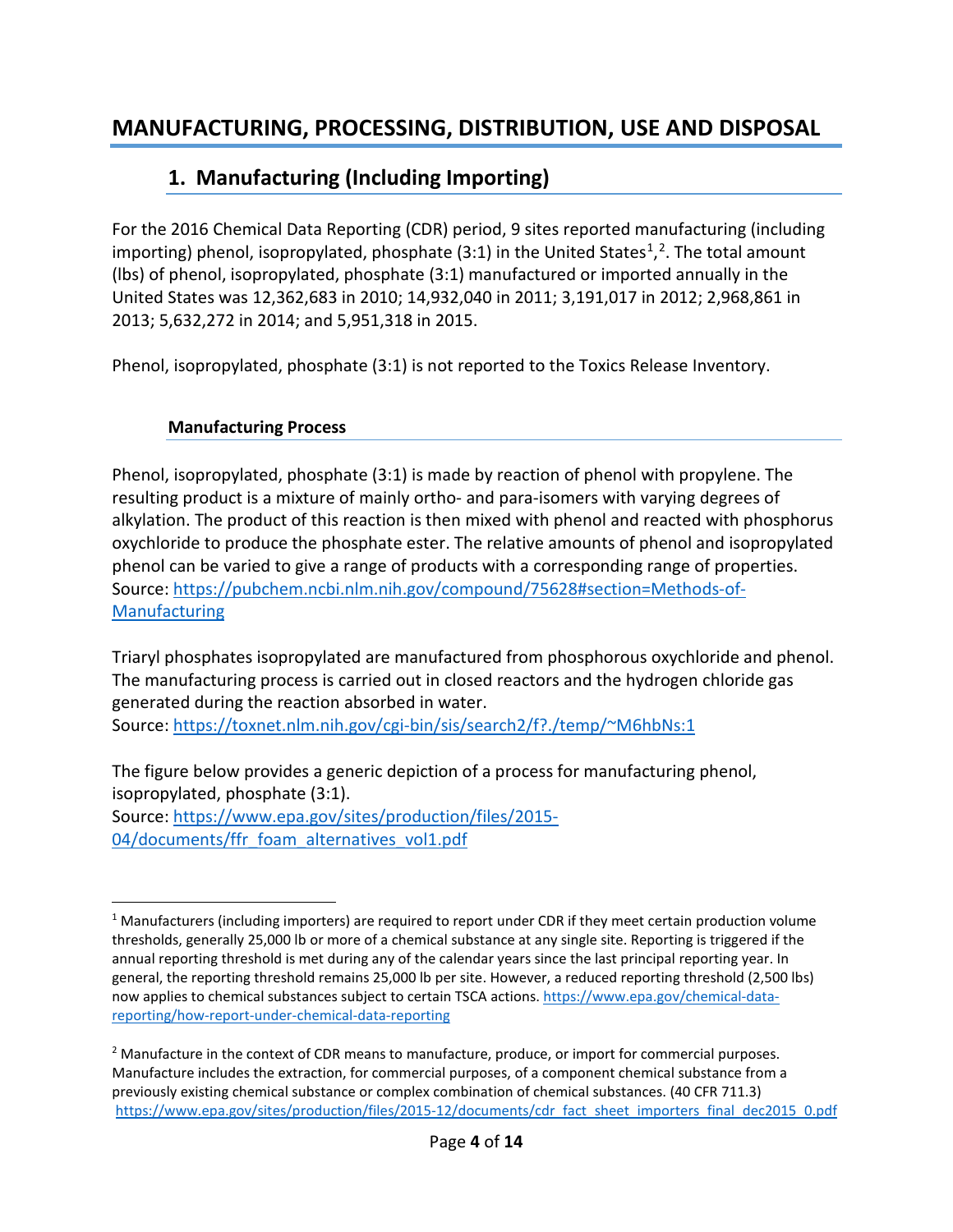### <span id="page-3-1"></span><span id="page-3-0"></span>**1. Manufacturing (Including Importing)**

For the 2016 Chemical Data Reporting (CDR) period, 9 sites reported manufacturing (including importing) phenol, isopropylated, phosphate (3:[1](#page-3-2)) in the United States<sup>1</sup>,<sup>2</sup>. The total amount (lbs) of phenol, isopropylated, phosphate (3:1) manufactured or imported annually in the United States was 12,362,683 in 2010; 14,932,040 in 2011; 3,191,017 in 2012; 2,968,861 in 2013; 5,632,272 in 2014; and 5,951,318 in 2015.

Phenol, isopropylated, phosphate (3:1) is not reported to the Toxics Release Inventory.

#### **Manufacturing Process**

Phenol, isopropylated, phosphate (3:1) is made by reaction of phenol with propylene. The resulting product is a mixture of mainly ortho- and para-isomers with varying degrees of alkylation. The product of this reaction is then mixed with phenol and reacted with phosphorus oxychloride to produce the phosphate ester. The relative amounts of phenol and isopropylated phenol can be varied to give a range of products with a corresponding range of properties. Source: [https://pubchem.ncbi.nlm.nih.gov/compound/75628#section=Methods-of-](https://pubchem.ncbi.nlm.nih.gov/compound/75628#section=Methods-of-Manufacturing)[Manufacturing](https://pubchem.ncbi.nlm.nih.gov/compound/75628#section=Methods-of-Manufacturing)

Triaryl phosphates isopropylated are manufactured from phosphorous oxychloride and phenol. The manufacturing process is carried out in closed reactors and the hydrogen chloride gas generated during the reaction absorbed in water. Source: [https://toxnet.nlm.nih.gov/cgi-bin/sis/search2/f?./temp/~M6hbNs:1](https://toxnet.nlm.nih.gov/cgi-bin/sis/search2/f?./temp/%7EM6hbNs:1)

The figure below provides a generic depiction of a process for manufacturing phenol, isopropylated, phosphate (3:1). Source: [https://www.epa.gov/sites/production/files/2015-](https://www.epa.gov/sites/production/files/2015-04/documents/ffr_foam_alternatives_vol1.pdf) [04/documents/ffr\\_foam\\_alternatives\\_vol1.pdf](https://www.epa.gov/sites/production/files/2015-04/documents/ffr_foam_alternatives_vol1.pdf)

<span id="page-3-2"></span> <sup>1</sup> Manufacturers (including importers) are required to report under CDR if they meet certain production volume thresholds, generally 25,000 lb or more of a chemical substance at any single site. Reporting is triggered if the annual reporting threshold is met during any of the calendar years since the last principal reporting year. In general, the reporting threshold remains 25,000 lb per site. However, a reduced reporting threshold (2,500 lbs) now applies to chemical substances subject to certain TSCA actions. [https://www.epa.gov/chemical-data](https://www.epa.gov/chemical-data-reporting/how-report-under-chemical-data-reporting)[reporting/how-report-under-chemical-data-reporting](https://www.epa.gov/chemical-data-reporting/how-report-under-chemical-data-reporting)

<span id="page-3-3"></span><sup>&</sup>lt;sup>2</sup> Manufacture in the context of CDR means to manufacture, produce, or import for commercial purposes. Manufacture includes the extraction, for commercial purposes, of a component chemical substance from a previously existing chemical substance or complex combination of chemical substances. (40 CFR 711.3) [https://www.epa.gov/sites/production/files/2015-12/documents/cdr\\_fact\\_sheet\\_importers\\_final\\_dec2015\\_0.pdf](https://www.epa.gov/sites/production/files/2015-12/documents/cdr_fact_sheet_importers_final_dec2015_0.pdf)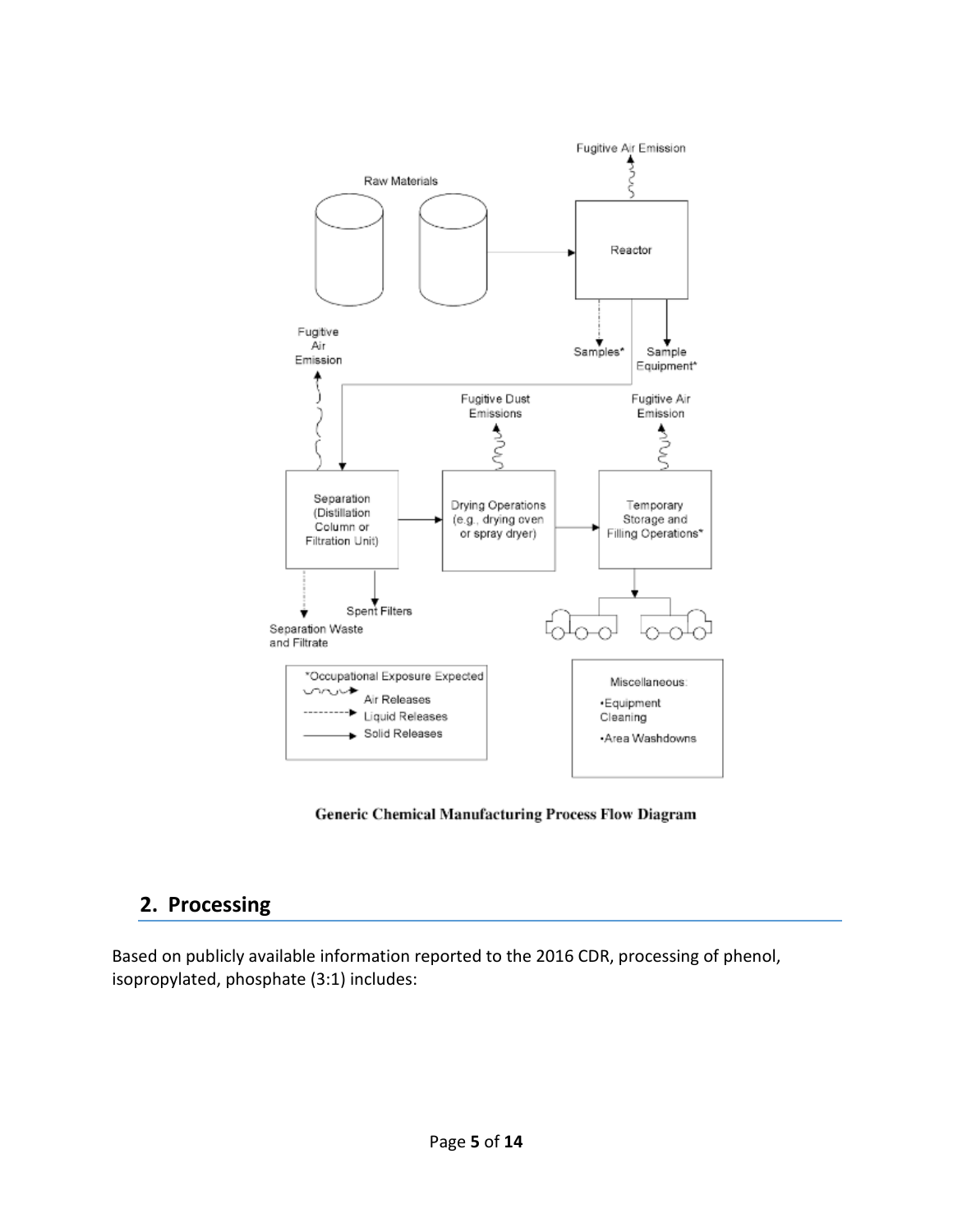

Generic Chemical Manufacturing Process Flow Diagram

### <span id="page-4-0"></span>**2. Processing**

Based on publicly available information reported to the 2016 CDR, processing of phenol, isopropylated, phosphate (3:1) includes: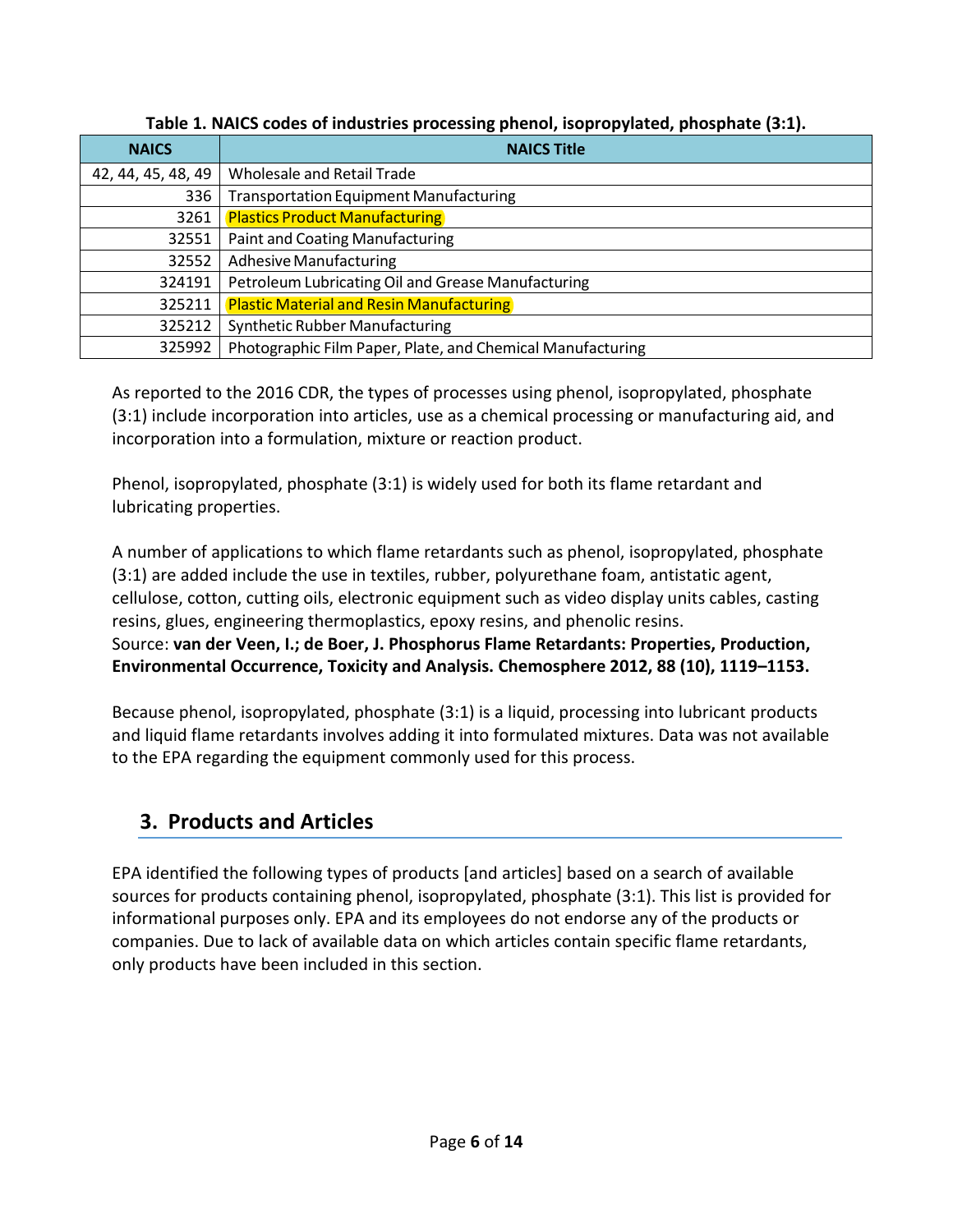| <b>NAICS</b>       | - -<br><b>NAICS Title</b>                                  |  |  |  |  |
|--------------------|------------------------------------------------------------|--|--|--|--|
| 42, 44, 45, 48, 49 | Wholesale and Retail Trade                                 |  |  |  |  |
| 336                | <b>Transportation Equipment Manufacturing</b>              |  |  |  |  |
| 3261               | <b>Plastics Product Manufacturing</b>                      |  |  |  |  |
| 32551              | <b>Paint and Coating Manufacturing</b>                     |  |  |  |  |
| 32552              | <b>Adhesive Manufacturing</b>                              |  |  |  |  |
| 324191             | Petroleum Lubricating Oil and Grease Manufacturing         |  |  |  |  |
| 325211             | <b>Plastic Material and Resin Manufacturing</b>            |  |  |  |  |
| 325212             | <b>Synthetic Rubber Manufacturing</b>                      |  |  |  |  |
| 325992             | Photographic Film Paper, Plate, and Chemical Manufacturing |  |  |  |  |

**Table 1. NAICS codes of industries processing phenol, isopropylated, phosphate (3:1).**

As reported to the 2016 CDR, the types of processes using phenol, isopropylated, phosphate (3:1) include incorporation into articles, use as a chemical processing or manufacturing aid, and incorporation into a formulation, mixture or reaction product.

Phenol, isopropylated, phosphate (3:1) is widely used for both its flame retardant and lubricating properties.

A number of applications to which flame retardants such as phenol, isopropylated, phosphate (3:1) are added include the use in textiles, rubber, polyurethane foam, antistatic agent, cellulose, cotton, cutting oils, electronic equipment such as video display units cables, casting resins, glues, engineering thermoplastics, epoxy resins, and phenolic resins. Source: **van der Veen, I.; de Boer, J. Phosphorus Flame Retardants: Properties, Production, Environmental Occurrence, Toxicity and Analysis. Chemosphere 2012, 88 (10), 1119–1153.**

Because phenol, isopropylated, phosphate (3:1) is a liquid, processing into lubricant products and liquid flame retardants involves adding it into formulated mixtures. Data was not available to the EPA regarding the equipment commonly used for this process.

# <span id="page-5-0"></span>**3. Products and Articles**

EPA identified the following types of products [and articles] based on a search of available sources for products containing phenol, isopropylated, phosphate (3:1). This list is provided for informational purposes only. EPA and its employees do not endorse any of the products or companies. Due to lack of available data on which articles contain specific flame retardants, only products have been included in this section.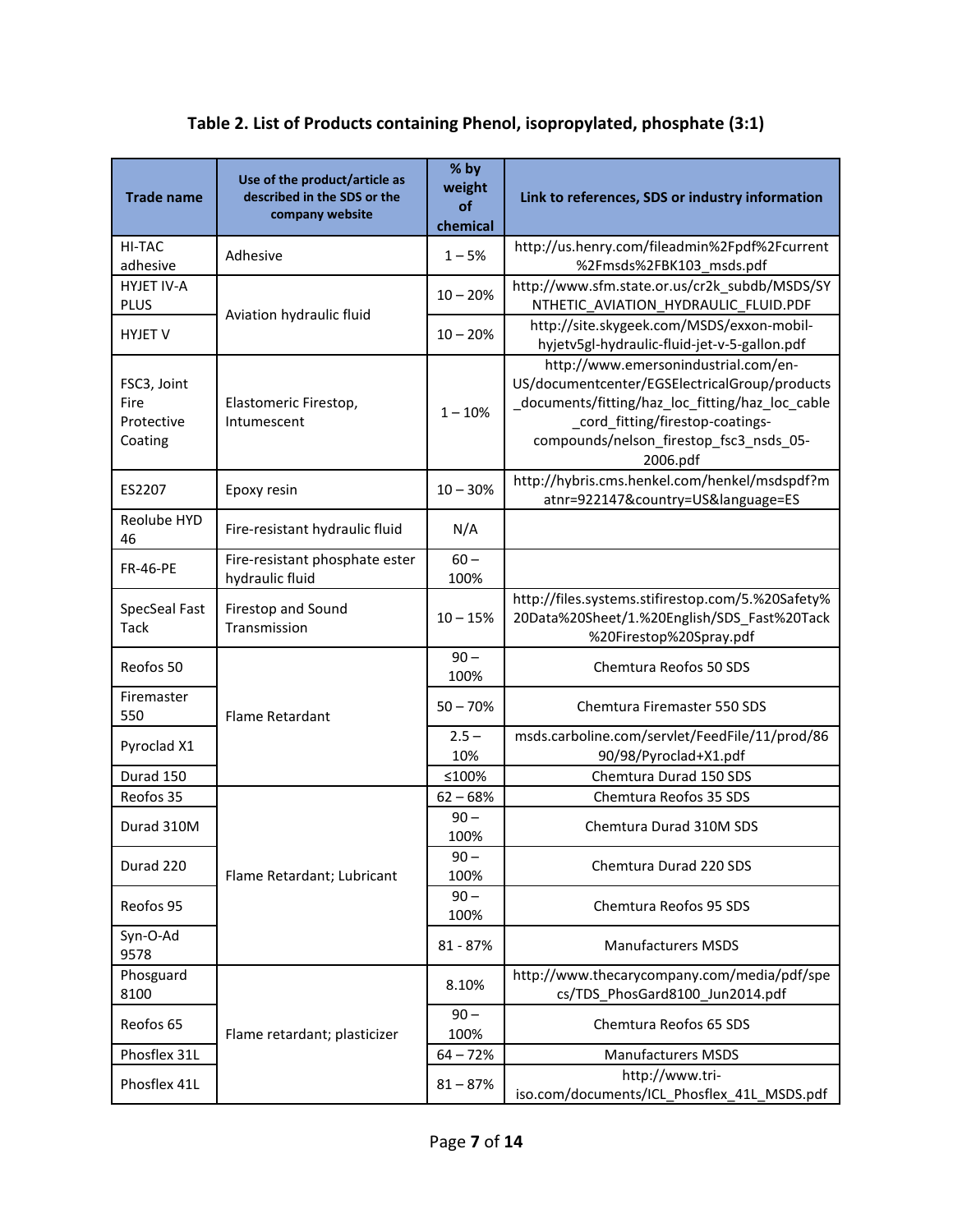| <b>Trade name</b>                            | Use of the product/article as<br>described in the SDS or the<br>company website | % by<br>weight<br>of<br>chemical | Link to references, SDS or industry information                                                                                                                                                                                      |
|----------------------------------------------|---------------------------------------------------------------------------------|----------------------------------|--------------------------------------------------------------------------------------------------------------------------------------------------------------------------------------------------------------------------------------|
| HI-TAC<br>adhesive                           | Adhesive                                                                        | $1 - 5%$                         | http://us.henry.com/fileadmin%2Fpdf%2Fcurrent<br>%2Fmsds%2FBK103_msds.pdf                                                                                                                                                            |
| <b>HYJET IV-A</b><br><b>PLUS</b>             |                                                                                 | $10 - 20%$                       | http://www.sfm.state.or.us/cr2k subdb/MSDS/SY<br>NTHETIC_AVIATION_HYDRAULIC_FLUID.PDF                                                                                                                                                |
| <b>HYJET V</b>                               | Aviation hydraulic fluid                                                        | $10 - 20%$                       | http://site.skygeek.com/MSDS/exxon-mobil-<br>hyjetv5gl-hydraulic-fluid-jet-v-5-gallon.pdf                                                                                                                                            |
| FSC3, Joint<br>Fire<br>Protective<br>Coating | Elastomeric Firestop,<br>Intumescent                                            | $1 - 10%$                        | http://www.emersonindustrial.com/en-<br>US/documentcenter/EGSElectricalGroup/products<br>_documents/fitting/haz_loc_fitting/haz_loc_cable<br>_cord_fitting/firestop-coatings-<br>compounds/nelson_firestop_fsc3_nsds_05-<br>2006.pdf |
| ES2207                                       | Epoxy resin                                                                     | $10 - 30%$                       | http://hybris.cms.henkel.com/henkel/msdspdf?m<br>atnr=922147&country=US&language=ES                                                                                                                                                  |
| Reolube HYD<br>46                            | Fire-resistant hydraulic fluid                                                  | N/A                              |                                                                                                                                                                                                                                      |
| <b>FR-46-PE</b>                              | Fire-resistant phosphate ester<br>hydraulic fluid                               | $60-$<br>100%                    |                                                                                                                                                                                                                                      |
| SpecSeal Fast<br><b>Tack</b>                 | Firestop and Sound<br>Transmission                                              | $10 - 15%$                       | http://files.systems.stifirestop.com/5.%20Safety%<br>20Data%20Sheet/1.%20English/SDS Fast%20Tack<br>%20Firestop%20Spray.pdf                                                                                                          |
| Reofos 50                                    | <b>Flame Retardant</b>                                                          | $90 -$<br>100%                   | Chemtura Reofos 50 SDS                                                                                                                                                                                                               |
| Firemaster<br>550                            |                                                                                 | $50 - 70%$                       | <b>Chemtura Firemaster 550 SDS</b>                                                                                                                                                                                                   |
| Pyroclad X1                                  |                                                                                 | $2.5 -$<br>10%                   | msds.carboline.com/servlet/FeedFile/11/prod/86<br>90/98/Pyroclad+X1.pdf                                                                                                                                                              |
| Durad 150                                    |                                                                                 | ≤100%                            | Chemtura Durad 150 SDS                                                                                                                                                                                                               |
| Reofos 35                                    |                                                                                 | $62 - 68%$                       | Chemtura Reofos 35 SDS                                                                                                                                                                                                               |
| Durad 310M                                   |                                                                                 | $90 -$<br>100%                   | Chemtura Durad 310M SDS                                                                                                                                                                                                              |
| Durad 220                                    | Flame Retardant; Lubricant                                                      | 90 <sub>1</sub><br>100%          | Chemtura Durad 220 SDS                                                                                                                                                                                                               |
| Reofos 95                                    |                                                                                 | $90 -$<br>100%                   | Chemtura Reofos 95 SDS                                                                                                                                                                                                               |
| Syn-O-Ad<br>9578                             |                                                                                 | 81 - 87%                         | <b>Manufacturers MSDS</b>                                                                                                                                                                                                            |
| Phosguard<br>8100                            |                                                                                 | 8.10%                            | http://www.thecarycompany.com/media/pdf/spe<br>cs/TDS_PhosGard8100_Jun2014.pdf                                                                                                                                                       |
| Reofos 65                                    | Flame retardant; plasticizer                                                    | $90 -$<br>100%                   | Chemtura Reofos 65 SDS                                                                                                                                                                                                               |
| Phosflex 31L                                 |                                                                                 | $64 - 72%$                       | <b>Manufacturers MSDS</b>                                                                                                                                                                                                            |
| Phosflex 41L                                 |                                                                                 | $81 - 87%$                       | http://www.tri-<br>iso.com/documents/ICL_Phosflex_41L_MSDS.pdf                                                                                                                                                                       |

#### **Table 2. List of Products containing Phenol, isopropylated, phosphate (3:1)**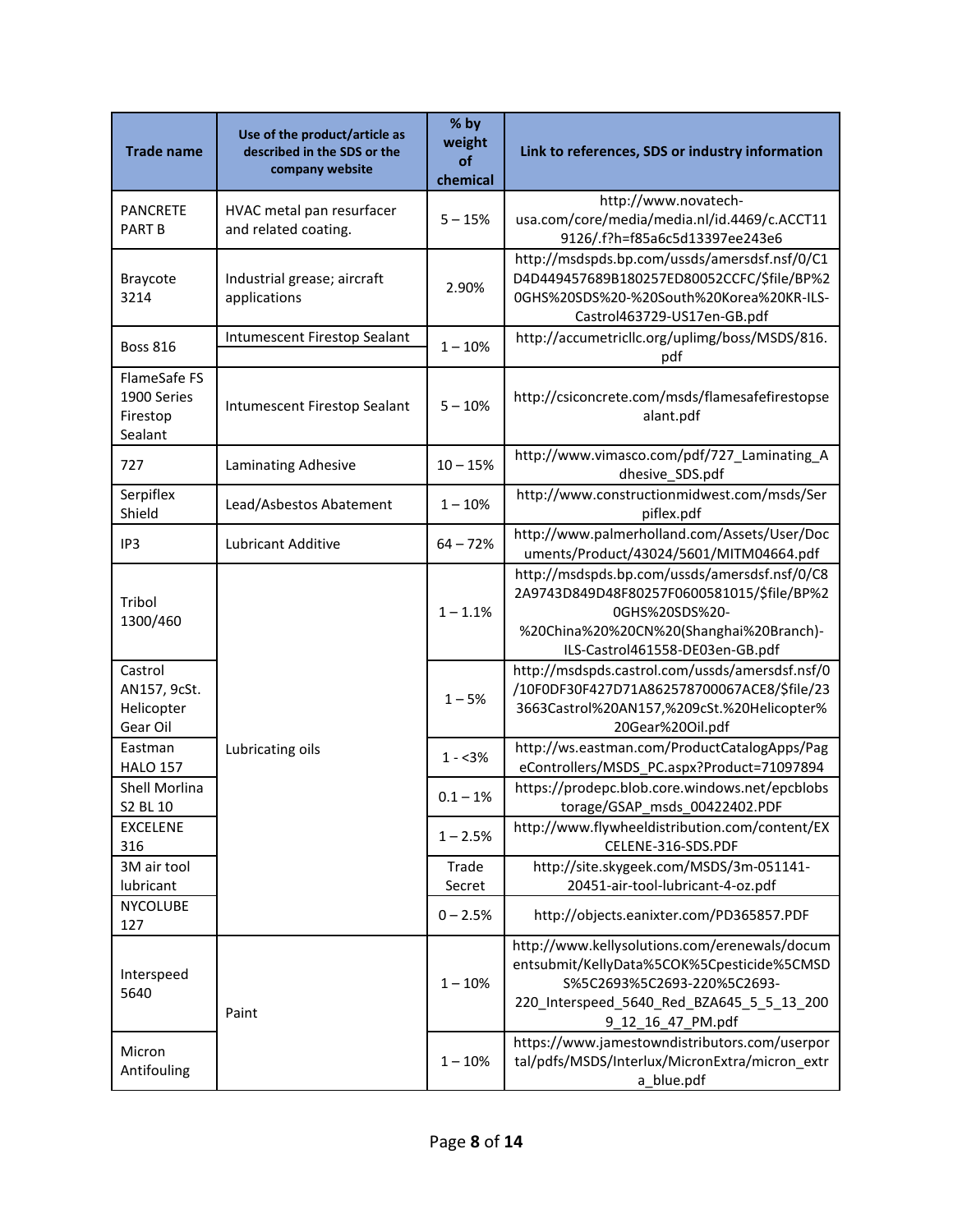| <b>Trade name</b>                                  | Use of the product/article as<br>described in the SDS or the<br>company website | % by<br>weight<br>of<br>chemical | Link to references, SDS or industry information                                                                                                                                              |
|----------------------------------------------------|---------------------------------------------------------------------------------|----------------------------------|----------------------------------------------------------------------------------------------------------------------------------------------------------------------------------------------|
| <b>PANCRETE</b><br><b>PART B</b>                   | HVAC metal pan resurfacer<br>and related coating.                               | $5 - 15%$                        | http://www.novatech-<br>usa.com/core/media/media.nl/id.4469/c.ACCT11<br>9126/.f?h=f85a6c5d13397ee243e6                                                                                       |
| Braycote<br>3214                                   | Industrial grease; aircraft<br>applications                                     | 2.90%                            | http://msdspds.bp.com/ussds/amersdsf.nsf/0/C1<br>D4D449457689B180257ED80052CCFC/\$file/BP%2<br>0GHS%20SDS%20-%20South%20Korea%20KR-ILS-<br>Castrol463729-US17en-GB.pdf                       |
| <b>Boss 816</b>                                    | Intumescent Firestop Sealant                                                    | $1 - 10%$                        | http://accumetricllc.org/uplimg/boss/MSDS/816.<br>pdf                                                                                                                                        |
| FlameSafe FS<br>1900 Series<br>Firestop<br>Sealant | Intumescent Firestop Sealant                                                    | $5 - 10%$                        | http://csiconcrete.com/msds/flamesafefirestopse<br>alant.pdf                                                                                                                                 |
| 727                                                | Laminating Adhesive                                                             | $10 - 15%$                       | http://www.vimasco.com/pdf/727 Laminating A<br>dhesive_SDS.pdf                                                                                                                               |
| Serpiflex<br>Shield                                | Lead/Asbestos Abatement                                                         | $1 - 10%$                        | http://www.constructionmidwest.com/msds/Ser<br>piflex.pdf                                                                                                                                    |
| IP3                                                | Lubricant Additive                                                              | $64 - 72%$                       | http://www.palmerholland.com/Assets/User/Doc<br>uments/Product/43024/5601/MITM04664.pdf                                                                                                      |
| Tribol<br>1300/460                                 |                                                                                 | $1 - 1.1%$                       | http://msdspds.bp.com/ussds/amersdsf.nsf/0/C8<br>2A9743D849D48F80257F0600581015/\$file/BP%2<br>0GHS%20SDS%20-<br>%20China%20%20CN%20(Shanghai%20Branch)-<br>ILS-Castrol461558-DE03en-GB.pdf  |
| Castrol<br>AN157, 9cSt.<br>Helicopter<br>Gear Oil  | Lubricating oils                                                                | $1 - 5%$                         | http://msdspds.castrol.com/ussds/amersdsf.nsf/0<br>/10F0DF30F427D71A862578700067ACE8/\$file/23<br>3663Castrol%20AN157,%209cSt.%20Helicopter%<br>20Gear%20Oil.pdf                             |
| Eastman<br><b>HALO 157</b>                         |                                                                                 | $1 - 3%$                         | http://ws.eastman.com/ProductCatalogApps/Pag<br>eControllers/MSDS_PC.aspx?Product=71097894                                                                                                   |
| Shell Morlina<br>S2 BL 10                          |                                                                                 | $0.1 - 1%$                       | https://prodepc.blob.core.windows.net/epcblobs<br>torage/GSAP msds 00422402.PDF                                                                                                              |
| <b>EXCELENE</b><br>316                             |                                                                                 | $1 - 2.5%$                       | http://www.flywheeldistribution.com/content/EX<br>CELENE-316-SDS.PDF                                                                                                                         |
| 3M air tool<br>lubricant                           |                                                                                 | Trade<br>Secret                  | http://site.skygeek.com/MSDS/3m-051141-<br>20451-air-tool-lubricant-4-oz.pdf                                                                                                                 |
| <b>NYCOLUBE</b><br>127                             |                                                                                 | $0 - 2.5%$                       | http://objects.eanixter.com/PD365857.PDF                                                                                                                                                     |
| Interspeed<br>5640                                 | Paint                                                                           | $1 - 10%$                        | http://www.kellysolutions.com/erenewals/docum<br>entsubmit/KellyData%5COK%5Cpesticide%5CMSD<br>S%5C2693%5C2693-220%5C2693-<br>220_Interspeed_5640_Red_BZA645_5_5_13_200<br>9_12_16_47_PM.pdf |
| Micron<br>Antifouling                              |                                                                                 | $1 - 10%$                        | https://www.jamestowndistributors.com/userpor<br>tal/pdfs/MSDS/Interlux/MicronExtra/micron_extr<br>a_blue.pdf                                                                                |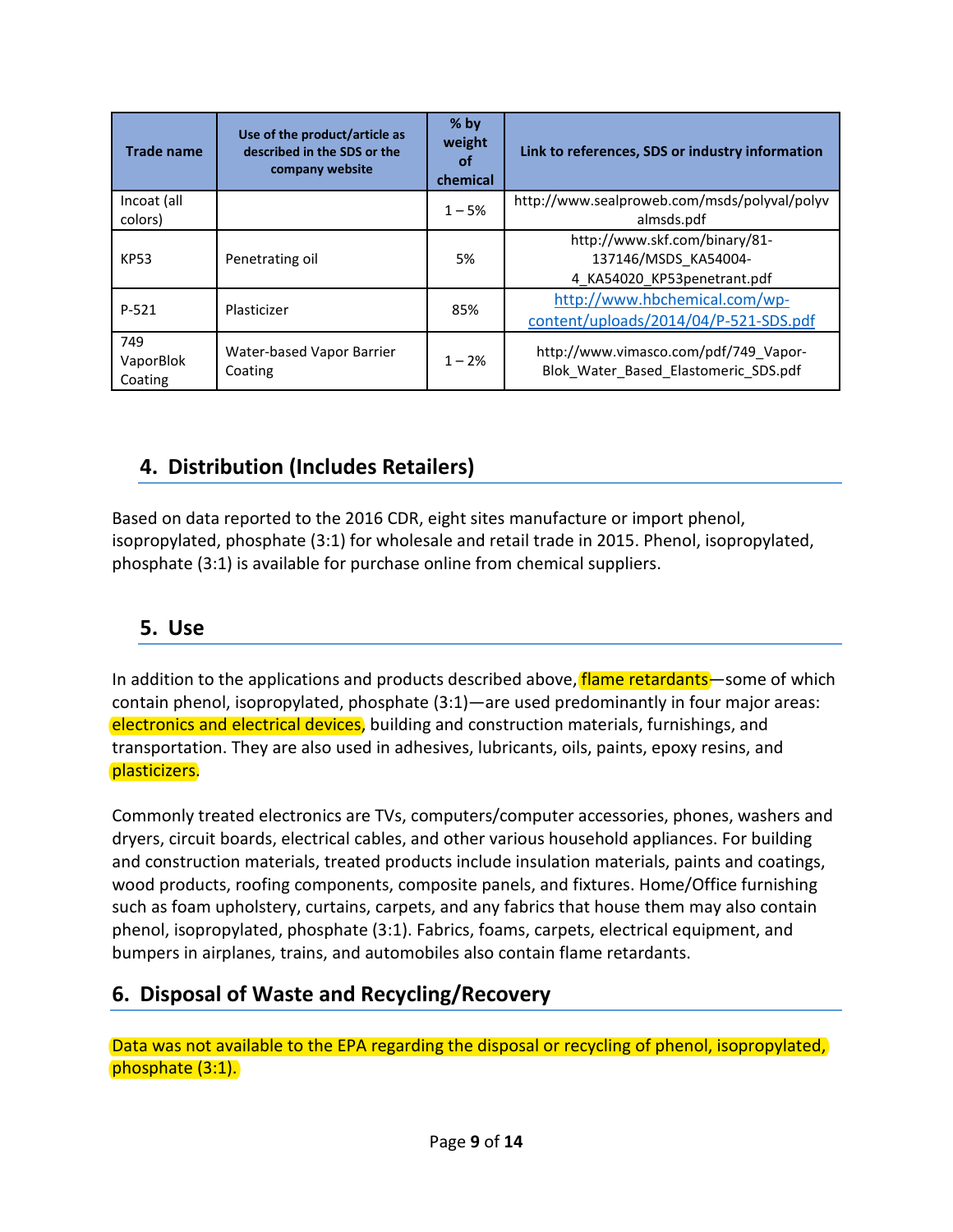| <b>Trade name</b>           | Use of the product/article as<br>described in the SDS or the<br>company website | $%$ by<br>weight<br>οf<br>chemical | Link to references, SDS or industry information                                      |
|-----------------------------|---------------------------------------------------------------------------------|------------------------------------|--------------------------------------------------------------------------------------|
| Incoat (all<br>colors)      |                                                                                 | $1 - 5%$                           | http://www.sealproweb.com/msds/polyval/polyv<br>almsds.pdf                           |
| <b>KP53</b>                 | Penetrating oil                                                                 | 5%                                 | http://www.skf.com/binary/81-<br>137146/MSDS KA54004-<br>4 KA54020 KP53penetrant.pdf |
| $P - 521$                   | Plasticizer                                                                     | 85%                                | http://www.hbchemical.com/wp-<br>content/uploads/2014/04/P-521-SDS.pdf               |
| 749<br>VaporBlok<br>Coating | Water-based Vapor Barrier<br>Coating                                            | $1 - 2%$                           | http://www.vimasco.com/pdf/749 Vapor-<br>Blok Water Based Elastomeric SDS.pdf        |

## <span id="page-8-0"></span>**4. Distribution (Includes Retailers)**

Based on data reported to the 2016 CDR, eight sites manufacture or import phenol, isopropylated, phosphate (3:1) for wholesale and retail trade in 2015. Phenol, isopropylated, phosphate (3:1) is available for purchase online from chemical suppliers.

#### <span id="page-8-1"></span>**5. Use**

In addition to the applications and products described above, flame retardants—some of which contain phenol, isopropylated, phosphate (3:1)—are used predominantly in four major areas: electronics and electrical devices, building and construction materials, furnishings, and transportation. They are also used in adhesives, lubricants, oils, paints, epoxy resins, and plasticizers.

Commonly treated electronics are TVs, computers/computer accessories, phones, washers and dryers, circuit boards, electrical cables, and other various household appliances. For building and construction materials, treated products include insulation materials, paints and coatings, wood products, roofing components, composite panels, and fixtures. Home/Office furnishing such as foam upholstery, curtains, carpets, and any fabrics that house them may also contain phenol, isopropylated, phosphate (3:1). Fabrics, foams, carpets, electrical equipment, and bumpers in airplanes, trains, and automobiles also contain flame retardants.

## <span id="page-8-2"></span>**6. Disposal of Waste and Recycling/Recovery**

Data was not available to the EPA regarding the disposal or recycling of phenol, isopropylated, phosphate (3:1).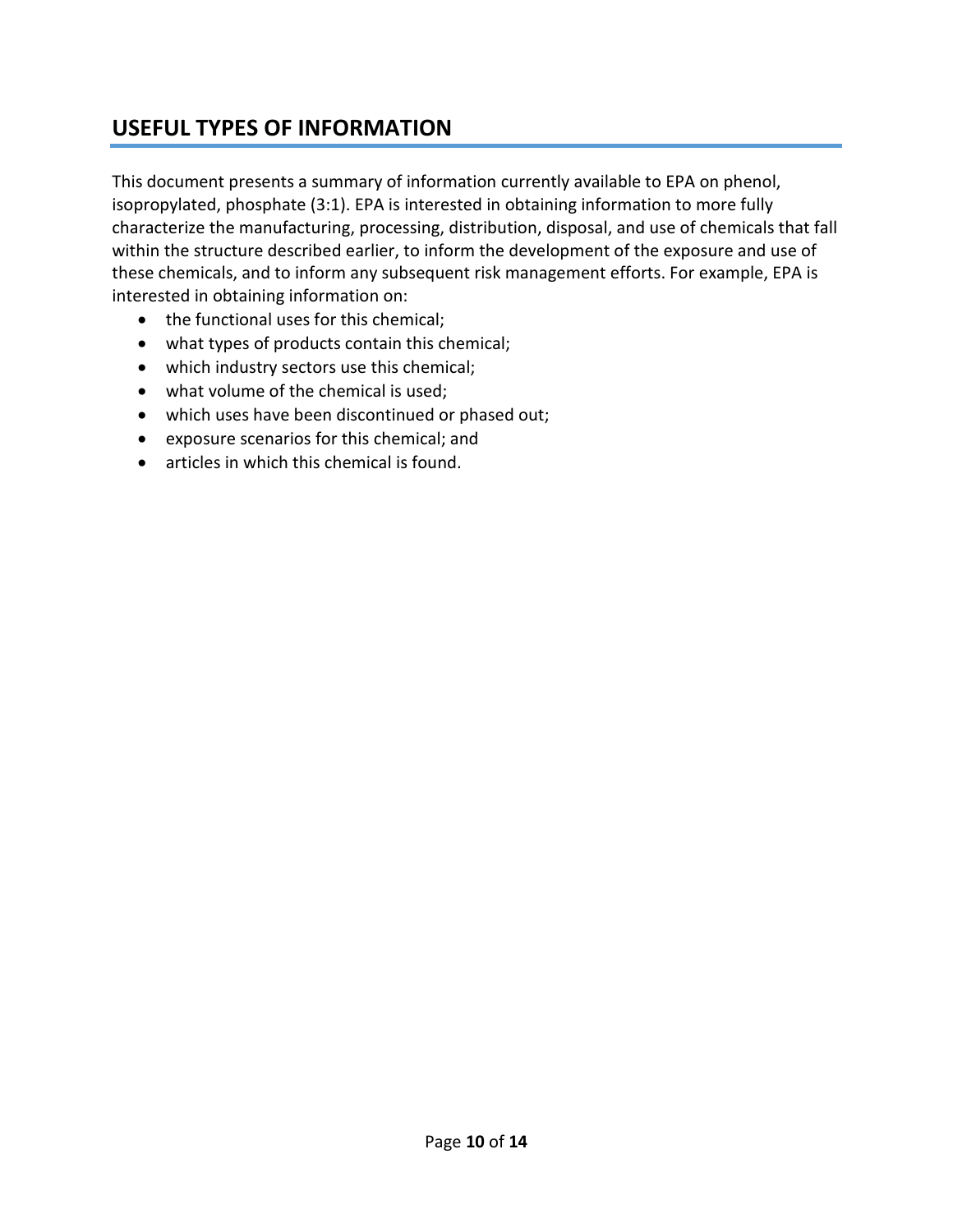### <span id="page-9-0"></span>**USEFUL TYPES OF INFORMATION**

This document presents a summary of information currently available to EPA on phenol, isopropylated, phosphate (3:1). EPA is interested in obtaining information to more fully characterize the manufacturing, processing, distribution, disposal, and use of chemicals that fall within the structure described earlier, to inform the development of the exposure and use of these chemicals, and to inform any subsequent risk management efforts. For example, EPA is interested in obtaining information on:

- the functional uses for this chemical;
- what types of products contain this chemical;
- which industry sectors use this chemical;
- what volume of the chemical is used;
- which uses have been discontinued or phased out;
- exposure scenarios for this chemical; and
- articles in which this chemical is found.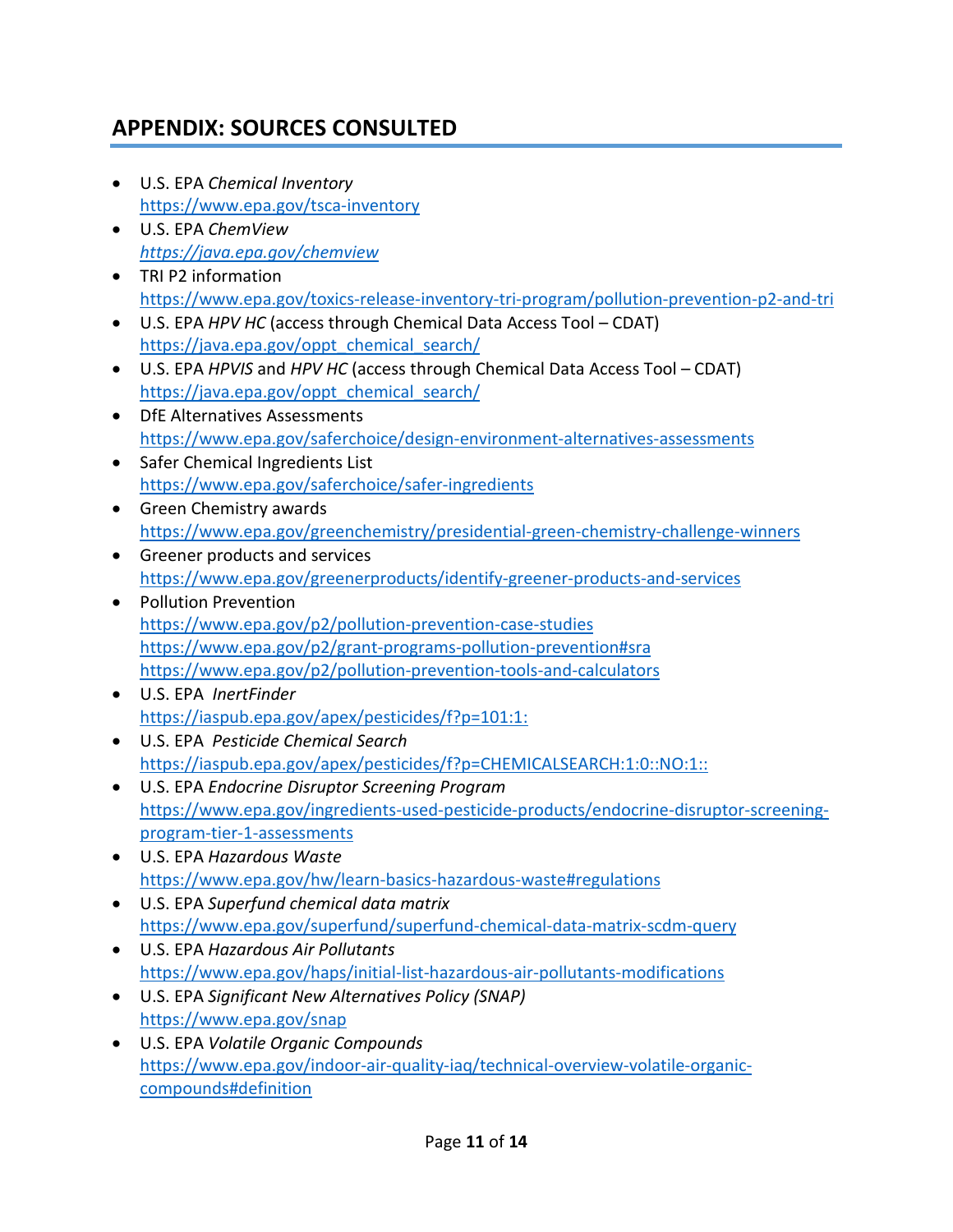# <span id="page-10-0"></span>**APPENDIX: SOURCES CONSULTED**

- U.S. EPA *Chemical Inventory* <https://www.epa.gov/tsca-inventory>
- U.S. EPA *ChemView <https://java.epa.gov/chemview>*
- TRI P2 information <https://www.epa.gov/toxics-release-inventory-tri-program/pollution-prevention-p2-and-tri>
- U.S. EPA *HPV HC* (access through Chemical Data Access Tool CDAT) [https://java.epa.gov/oppt\\_chemical\\_search/](https://java.epa.gov/oppt_chemical_search/)
- U.S. EPA *HPVIS* and *HPV HC* (access through Chemical Data Access Tool CDAT) [https://java.epa.gov/oppt\\_chemical\\_search/](https://java.epa.gov/oppt_chemical_search/)
- DfE Alternatives Assessments <https://www.epa.gov/saferchoice/design-environment-alternatives-assessments>
- Safer Chemical Ingredients List <https://www.epa.gov/saferchoice/safer-ingredients>
- Green Chemistry awards <https://www.epa.gov/greenchemistry/presidential-green-chemistry-challenge-winners>
- Greener products and services <https://www.epa.gov/greenerproducts/identify-greener-products-and-services>
- Pollution Prevention <https://www.epa.gov/p2/pollution-prevention-case-studies> <https://www.epa.gov/p2/grant-programs-pollution-prevention#sra> <https://www.epa.gov/p2/pollution-prevention-tools-and-calculators>
- U.S. EPA *InertFinder* [https://iaspub.epa.gov/apex/pesticides/f?p=101:1:](https://iaspub.epa.gov/apex/pesticides/f?p=101:1)
- U.S. EPA *Pesticide Chemical Search* [https://iaspub.epa.gov/apex/pesticides/f?p=CHEMICALSEARCH:1:0::NO:1:](https://iaspub.epa.gov/apex/pesticides/f?p=CHEMICALSEARCH:1:0::NO:1):
- U.S. EPA *Endocrine Disruptor Screening Program* [https://www.epa.gov/ingredients-used-pesticide-products/endocrine-disruptor-screening](https://www.epa.gov/ingredients-used-pesticide-products/endocrine-disruptor-screening-program-tier-1-assessments)[program-tier-1-assessments](https://www.epa.gov/ingredients-used-pesticide-products/endocrine-disruptor-screening-program-tier-1-assessments)
- U.S. EPA *Hazardous Waste* <https://www.epa.gov/hw/learn-basics-hazardous-waste#regulations>
- U.S. EPA *Superfund chemical data matrix* <https://www.epa.gov/superfund/superfund-chemical-data-matrix-scdm-query>
- U.S. EPA *Hazardous Air Pollutants* <https://www.epa.gov/haps/initial-list-hazardous-air-pollutants-modifications>
- U.S. EPA *Significant New Alternatives Policy (SNAP)* <https://www.epa.gov/snap>
- U.S. EPA *Volatile Organic Compounds* [https://www.epa.gov/indoor-air-quality-iaq/technical-overview-volatile-organic](https://www.epa.gov/indoor-air-quality-iaq/technical-overview-volatile-organic-)compounds#definition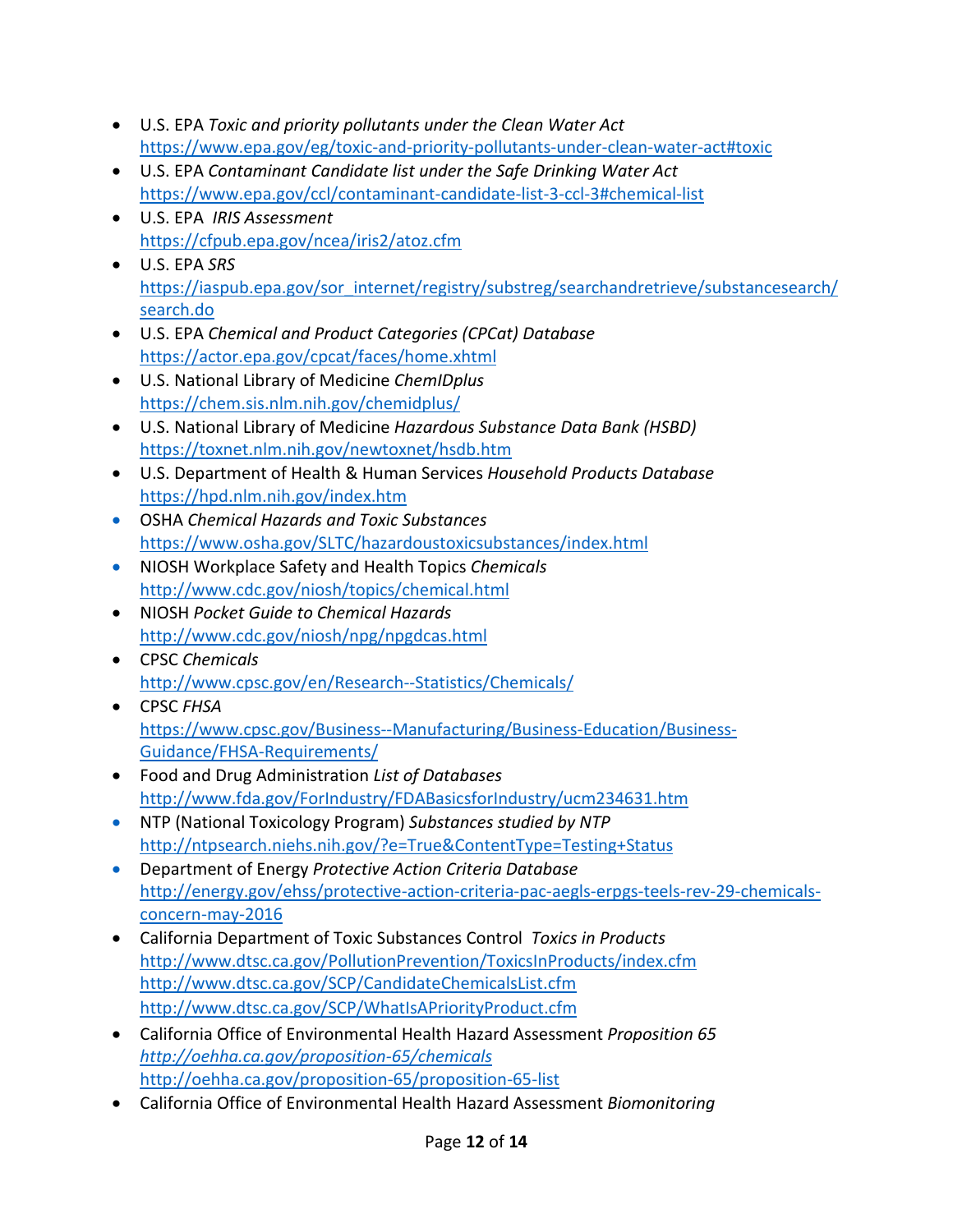- U.S. EPA *Toxic and priority pollutants under the Clean Water Act* <https://www.epa.gov/eg/toxic-and-priority-pollutants-under-clean-water-act#toxic>
- U.S. EPA *Contaminant Candidate list under the Safe Drinking Water Act* <https://www.epa.gov/ccl/contaminant-candidate-list-3-ccl-3#chemical-list>
- U.S. EPA *IRIS Assessment* <https://cfpub.epa.gov/ncea/iris2/atoz.cfm>
- U.S. EPA *SRS* [https://iaspub.epa.gov/sor\\_internet/registry/substreg/searchandretrieve/substancesearch/](https://iaspub.epa.gov/sor_internet/registry/substreg/searchandretrieve/substancesearch/search.do) [search.do](https://iaspub.epa.gov/sor_internet/registry/substreg/searchandretrieve/substancesearch/search.do)
- U.S. EPA *Chemical and Product Categories (CPCat) Database* <https://actor.epa.gov/cpcat/faces/home.xhtml>
- U.S. National Library of Medicine *ChemIDplus* <https://chem.sis.nlm.nih.gov/chemidplus/>
- U.S. National Library of Medicine *Hazardous Substance Data Bank (HSBD)* <https://toxnet.nlm.nih.gov/newtoxnet/hsdb.htm>
- U.S. Department of Health & Human Services *Household Products Database* <https://hpd.nlm.nih.gov/index.htm>
- OSHA *Chemical Hazards and Toxic Substances* <https://www.osha.gov/SLTC/hazardoustoxicsubstances/index.html>
- NIOSH Workplace Safety and Health Topics *Chemicals* <http://www.cdc.gov/niosh/topics/chemical.html>
- NIOSH *Pocket Guide to Chemical Hazards* <http://www.cdc.gov/niosh/npg/npgdcas.html>
- CPSC *Chemicals* <http://www.cpsc.gov/en/Research--Statistics/Chemicals/>
- CPSC *FHSA* [https://www.cpsc.gov/Business--Manufacturing/Business-Education/Business-](https://www.cpsc.gov/Business--Manufacturing/Business-Education/Business-Guidance/FHSA-Requirements/)[Guidance/FHSA-Requirements/](https://www.cpsc.gov/Business--Manufacturing/Business-Education/Business-Guidance/FHSA-Requirements/)
- Food and Drug Administration *List of Databases* <http://www.fda.gov/ForIndustry/FDABasicsforIndustry/ucm234631.htm>
- NTP (National Toxicology Program) *Substances studied by NTP* <http://ntpsearch.niehs.nih.gov/?e=True&ContentType=Testing+Status>
- Department of Energy *Protective Action Criteria Database* [http://energy.gov/ehss/protective-action-criteria-pac-aegls-erpgs-teels-rev-29-chemicals](http://energy.gov/ehss/protective-action-criteria-pac-aegls-erpgs-teels-rev-29-chemicals-concern-may-2016)[concern-may-2016](http://energy.gov/ehss/protective-action-criteria-pac-aegls-erpgs-teels-rev-29-chemicals-concern-may-2016)
- California Department of Toxic Substances Control *Toxics in Products* <http://www.dtsc.ca.gov/PollutionPrevention/ToxicsInProducts/index.cfm> <http://www.dtsc.ca.gov/SCP/CandidateChemicalsList.cfm> <http://www.dtsc.ca.gov/SCP/WhatIsAPriorityProduct.cfm>
- California Office of Environmental Health Hazard Assessment *Proposition 65 <http://oehha.ca.gov/proposition-65/chemicals>* <http://oehha.ca.gov/proposition-65/proposition-65-list>
- California Office of Environmental Health Hazard Assessment *Biomonitoring*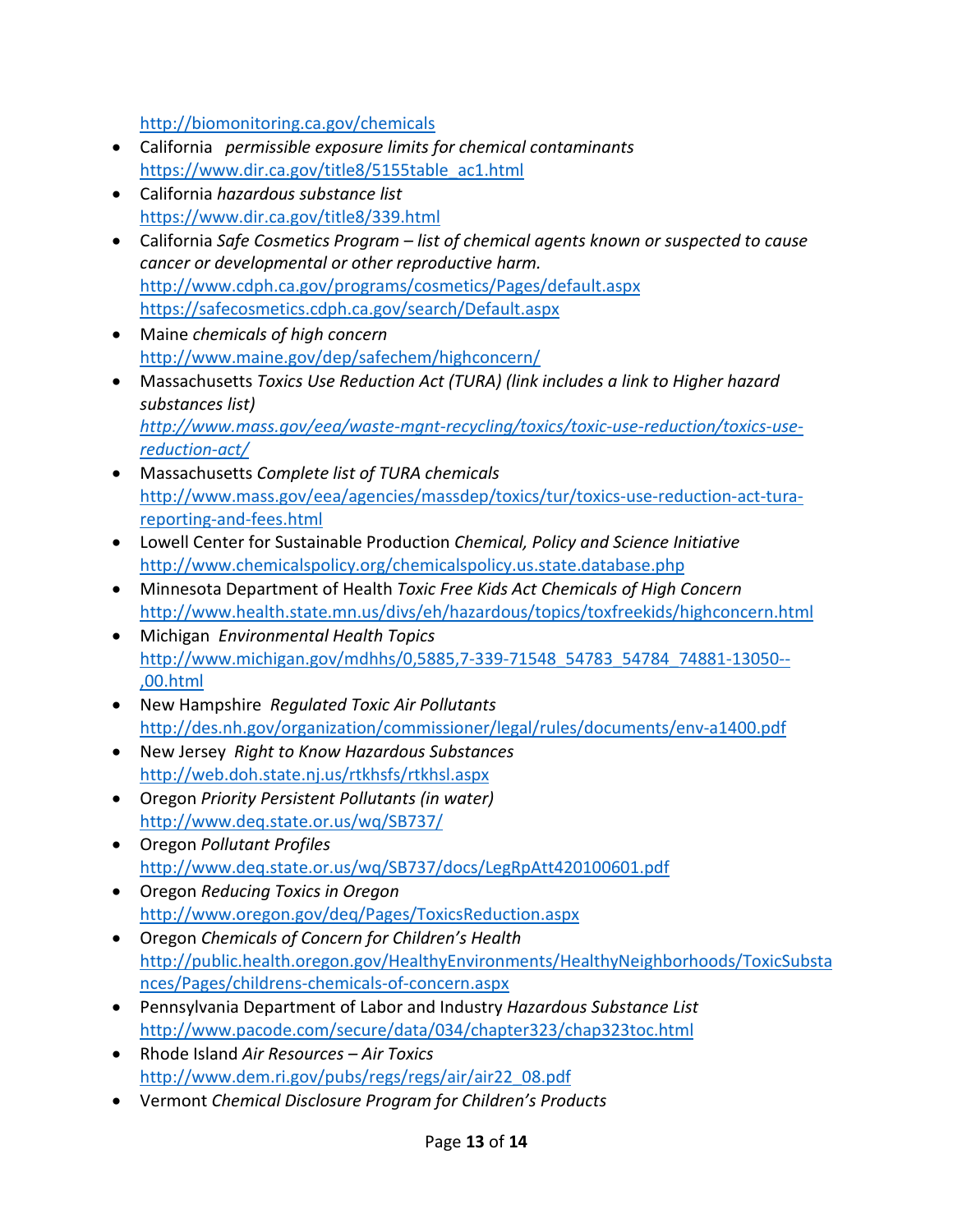<http://biomonitoring.ca.gov/chemicals>

- California *permissible exposure limits for chemical contaminants* [https://www.dir.ca.gov/title8/5155table\\_ac1.html](https://www.dir.ca.gov/title8/5155table_ac1.html)
- California *hazardous substance list* <https://www.dir.ca.gov/title8/339.html>
- California *Safe Cosmetics Program – list of chemical agents known or suspected to cause cancer or developmental or other reproductive harm.* <http://www.cdph.ca.gov/programs/cosmetics/Pages/default.aspx> <https://safecosmetics.cdph.ca.gov/search/Default.aspx>
- Maine *chemicals of high concern* <http://www.maine.gov/dep/safechem/highconcern/>
- Massachusetts *Toxics Use Reduction Act (TURA) (link includes a link to Higher hazard substances list) [http://www.mass.gov/eea/waste-mgnt-recycling/toxics/toxic-use-reduction/toxics-use](http://www.mass.gov/eea/waste-mgnt-recycling/toxics/toxic-use-reduction/toxics-use-reduction-act/)[reduction-act/](http://www.mass.gov/eea/waste-mgnt-recycling/toxics/toxic-use-reduction/toxics-use-reduction-act/)*
- Massachusetts *Complete list of TURA chemicals* [http://www.mass.gov/eea/agencies/massdep/toxics/tur/toxics-use-reduction-act-tura](http://www.mass.gov/eea/agencies/massdep/toxics/tur/toxics-use-reduction-act-tura-reporting-and-fees.html)[reporting-and-fees.html](http://www.mass.gov/eea/agencies/massdep/toxics/tur/toxics-use-reduction-act-tura-reporting-and-fees.html)
- Lowell Center for Sustainable Production *Chemical, Policy and Science Initiative* <http://www.chemicalspolicy.org/chemicalspolicy.us.state.database.php>
- Minnesota Department of Health *Toxic Free Kids Act Chemicals of High Concern* <http://www.health.state.mn.us/divs/eh/hazardous/topics/toxfreekids/highconcern.html>
- Michigan *Environmental Health Topics* [http://www.michigan.gov/mdhhs/0,5885,7-339-71548\\_54783\\_54784\\_74881-13050--](http://www.michigan.gov/mdhhs/0,5885,7-339-71548_54783_54784_74881-13050--) ,00.html
- New Hampshire *Regulated Toxic Air Pollutants* <http://des.nh.gov/organization/commissioner/legal/rules/documents/env-a1400.pdf>
- New Jersey *Right to Know Hazardous Substances* <http://web.doh.state.nj.us/rtkhsfs/rtkhsl.aspx>
- Oregon *Priority Persistent Pollutants (in water)* <http://www.deq.state.or.us/wq/SB737/>
- Oregon *Pollutant Profiles* <http://www.deq.state.or.us/wq/SB737/docs/LegRpAtt420100601.pdf>
- Oregon *Reducing Toxics in Oregon* <http://www.oregon.gov/deq/Pages/ToxicsReduction.aspx>
- Oregon *Chemicals of Concern for Children's Health* [http://public.health.oregon.gov/HealthyEnvironments/HealthyNeighborhoods/ToxicSubsta](http://public.health.oregon.gov/HealthyEnvironments/HealthyNeighborhoods/ToxicSubstances/Pages/childrens-chemicals-of-concern.aspx) [nces/Pages/childrens-chemicals-of-concern.aspx](http://public.health.oregon.gov/HealthyEnvironments/HealthyNeighborhoods/ToxicSubstances/Pages/childrens-chemicals-of-concern.aspx)
- Pennsylvania Department of Labor and Industry *Hazardous Substance List* <http://www.pacode.com/secure/data/034/chapter323/chap323toc.html>
- Rhode Island *Air Resources – Air Toxics* [http://www.dem.ri.gov/pubs/regs/regs/air/air22\\_08.pdf](http://www.dem.ri.gov/pubs/regs/regs/air/air22_08.pdf)
- Vermont *Chemical Disclosure Program for Children's Products*